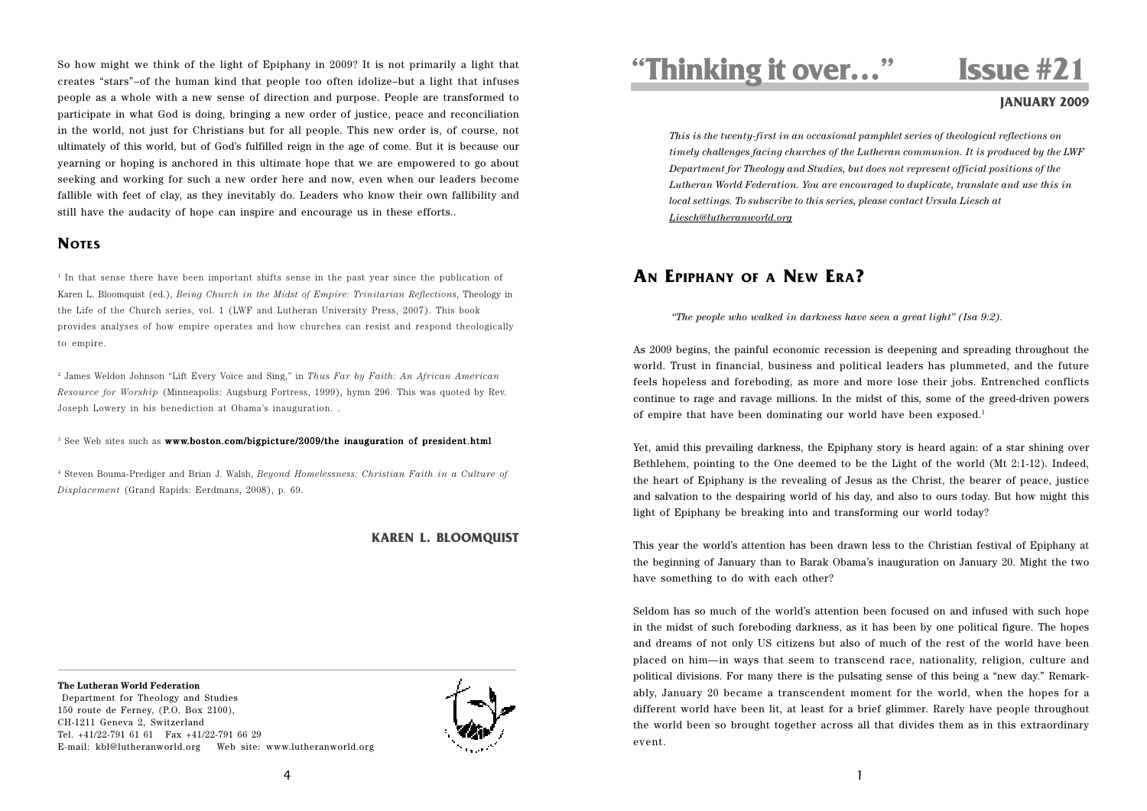So how might we think of the light of Epiphany in 2009? It is not primarily a light that creates "stars"–of the human kind that people too often idolize–but a light that infuses people as a whole with a new sense of direction and purpose. People are transformed to participate in what God is doing, bringing a new order of justice, peace and reconciliation in the world, not just for Christians but for all people. This new order is, of course, not ultimately of this world, but of God's fulfilled reign in the age of come. But it is because our yearning or hoping is anchored in this ultimate hope that we are empowered to go about seeking and working for such a new order here and now, even when our leaders become fallible with feet of clay, as they inevitably do. Leaders who know their own fallibility and still have the audacity of hope can inspire and encourage us in these efforts..

## **NOTES**

 $1$  In that sense there have been important shifts sense in the past year since the publication of Karen L. Bloomquist (ed.), *Being Church in the Midst of Empire: Trinitarian Reflections*, Theology in the Life of the Church series, vol. 1 (LWF and Lutheran University Press, 2007). This book provides analyses of how empire operates and how churches can resist and respond theologically to empire.

2 James Weldon Johnson "Lift Every Voice and Sing," in *Thus Far by Faith: An African American Resource for Worship* (Minneapolis: Augsburg Fortress, 1999), hymn 296. This was quoted by Rev. Joseph Lowery in his benediction at Obama's inauguration. .

 $\,^3$  See Web sites such as  $\,$  www.boston.com/bigpicture/2009/the inauguration of president.html

4 Steven Bouma-Prediger and Brian J. Walsh, *Beyond Homelessness: Christian Faith in a Culture of Displacement* (Grand Rapids: Eerdmans, 2008), p. 69.

## **KAREN L. BLOOMQUIST**

### **The Lutheran World Federation**

 Department for Theology and Studies 150 route de Ferney, (P.O. Box 2100), CH-1211 Geneva 2, Switzerland Tel. +41/22-791 61 61 Fax +41/22-791 66 29 E-mail: kbl@lutheranworld.org Web site: www.lutheranworld.org



# **"Thinking it over…" Issue #21**

## **JANUARY 2009**

*This is the twenty-first in an occasional pamphlet series of theological reflections on timely challenges facing churches of the Lutheran communion. It is produced by the LWF Department for Theology and Studies, but does not represent official positions of the Lutheran World Federation. You are encouraged to duplicate, translate and use this in local settings. To subscribe to this series, please contact Ursula Liesch at Liesch@lutheranworld.org*

## **AN EPIPHANY OF A NEW ERA?**

*"The people who walked in darkness have seen a great light" (Isa 9:2).*

As 2009 begins, the painful economic recession is deepening and spreading throughout the world. Trust in financial, business and political leaders has plummeted, and the future feels hopeless and foreboding, as more and more lose their jobs. Entrenched conflicts continue to rage and ravage millions. In the midst of this, some of the greed-driven powers of empire that have been dominating our world have been exposed.<sup>1</sup>

Yet, amid this prevailing darkness, the Epiphany story is heard again: of a star shining over Bethlehem, pointing to the One deemed to be the Light of the world (Mt 2:1-12). Indeed, the heart of Epiphany is the revealing of Jesus as the Christ, the bearer of peace, justice and salvation to the despairing world of his day, and also to ours today. But how might this light of Epiphany be breaking into and transforming our world today?

This year the world's attention has been drawn less to the Christian festival of Epiphany at the beginning of January than to Barak Obama's inauguration on January 20. Might the two have something to do with each other?

Seldom has so much of the world's attention been focused on and infused with such hope in the midst of such foreboding darkness, as it has been by one political figure. The hopes and dreams of not only US citizens but also of much of the rest of the world have been placed on him—in ways that seem to transcend race, nationality, religion, culture and political divisions. For many there is the pulsating sense of this being a "new day." Remarkably, January 20 became a transcendent moment for the world, when the hopes for a different world have been lit, at least for a brief glimmer. Rarely have people throughout the world been so brought together across all that divides them as in this extraordinary event.